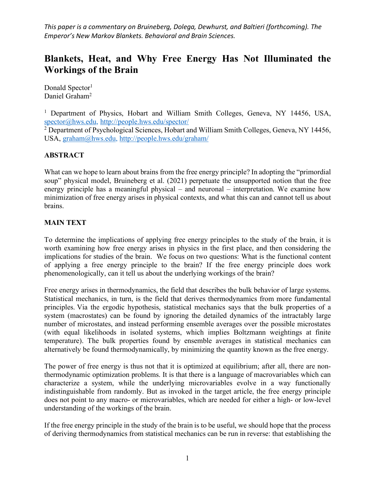*This paper is a commentary on Bruineberg, Dolega, Dewhurst, and Baltieri (forthcoming). The Emperor's New Markov Blankets. Behavioral and Brain Sciences.*

# **Blankets, Heat, and Why Free Energy Has Not Illuminated the Workings of the Brain**

Donald Spector<sup>1</sup> Daniel Graham<sup>2</sup>

<sup>1</sup> Department of Physics, Hobart and William Smith Colleges, Geneva, NY 14456, USA, spector@hws.edu, http://people.hws.edu/spector/

<sup>2</sup> Department of Psychological Sciences, Hobart and William Smith Colleges, Geneva, NY 14456, USA, graham@hws.edu, http://people.hws.edu/graham/

### **ABSTRACT**

What can we hope to learn about brains from the free energy principle? In adopting the "primordial" soup" physical model, Bruineberg et al. (2021) perpetuate the unsupported notion that the free energy principle has a meaningful physical – and neuronal – interpretation. We examine how minimization of free energy arises in physical contexts, and what this can and cannot tell us about brains.

### **MAIN TEXT**

To determine the implications of applying free energy principles to the study of the brain, it is worth examining how free energy arises in physics in the first place, and then considering the implications for studies of the brain. We focus on two questions: What is the functional content of applying a free energy principle to the brain? If the free energy principle does work phenomenologically, can it tell us about the underlying workings of the brain?

Free energy arises in thermodynamics, the field that describes the bulk behavior of large systems. Statistical mechanics, in turn, is the field that derives thermodynamics from more fundamental principles. Via the ergodic hypothesis, statistical mechanics says that the bulk properties of a system (macrostates) can be found by ignoring the detailed dynamics of the intractably large number of microstates, and instead performing ensemble averages over the possible microstates (with equal likelihoods in isolated systems, which implies Boltzmann weightings at finite temperature). The bulk properties found by ensemble averages in statistical mechanics can alternatively be found thermodynamically, by minimizing the quantity known as the free energy.

The power of free energy is thus not that it is optimized at equilibrium; after all, there are nonthermodynamic optimization problems. It is that there is a language of macrovariables which can characterize a system, while the underlying microvariables evolve in a way functionally indistinguishable from randomly. But as invoked in the target article, the free energy principle does not point to any macro- or microvariables, which are needed for either a high- or low-level understanding of the workings of the brain.

If the free energy principle in the study of the brain is to be useful, we should hope that the process of deriving thermodynamics from statistical mechanics can be run in reverse: that establishing the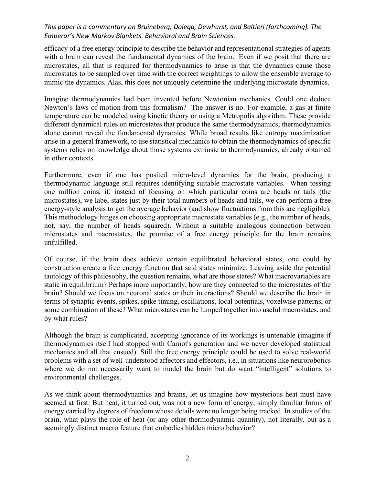## *This paper is a commentary on Bruineberg, Dolega, Dewhurst, and Baltieri (forthcoming). The Emperor's New Markov Blankets. Behavioral and Brain Sciences.*

efficacy of a free energy principle to describe the behavior and representational strategies of agents with a brain can reveal the fundamental dynamics of the brain. Even if we posit that there are microstates, all that is required for thermodynamics to arise is that the dynamics cause those microstates to be sampled over time with the correct weightings to allow the ensemble average to mimic the dynamics. Alas, this does not uniquely determine the underlying microstate dynamics.

Imagine thermodynamics had been invented before Newtonian mechanics. Could one deduce Newton's laws of motion from this formalism? The answer is no. For example, a gas at finite temperature can be modeled using kinetic theory or using a Metropolis algorithm. These provide different dynamical rules on microstates that produce the same thermodynamics; thermodynamics alone cannot reveal the fundamental dynamics. While broad results like entropy maximization arise in a general framework, to use statistical mechanics to obtain the thermodynamics of specific systems relies on knowledge about those systems extrinsic to thermodynamics, already obtained in other contexts.

Furthermore, even if one has posited micro-level dynamics for the brain, producing a thermodynamic language still requires identifying suitable macrostate variables. When tossing one million coins, if, instead of focusing on which particular coins are heads or tails (the microstates), we label states just by their total numbers of heads and tails, we can perform a free energy-style analysis to get the average behavior (and show fluctuations from this are negligible). This methodology hinges on choosing appropriate macrostate variables (e.g., the number of heads, not, say, the number of heads squared). Without a suitable analogous connection between microstates and macrostates, the promise of a free energy principle for the brain remains unfulfilled.

Of course, if the brain does achieve certain equilibrated behavioral states, one could by construction create a free energy function that said states minimize. Leaving aside the potential tautology of this philosophy, the question remains, what are those states? What macrovariables are static in equilibrium? Perhaps more importantly, how are they connected to the microstates of the brain? Should we focus on neuronal states or their interactions? Should we describe the brain in terms of synaptic events, spikes, spike timing, oscillations, local potentials, voxelwise patterns, or some combination of these? What microstates can be lumped together into useful macrostates, and by what rules?

Although the brain is complicated, accepting ignorance of its workings is untenable (imagine if thermodynamics itself had stopped with Carnot's generation and we never developed statistical mechanics and all that ensued). Still the free energy principle could be used to solve real-world problems with a set of well-understood affectors and effectors, i.e., in situations like neurorobotics where we do not necessarily want to model the brain but do want "intelligent" solutions to environmental challenges.

As we think about thermodynamics and brains, let us imagine how mysterious heat must have seemed at first. But heat, it turned out, was not a new form of energy, simply familiar forms of energy carried by degrees of freedom whose details were no longer being tracked. In studies of the brain, what plays the role of heat (or any other thermodynamic quantity), not literally, but as a seemingly distinct macro feature that embodies hidden micro behavior?